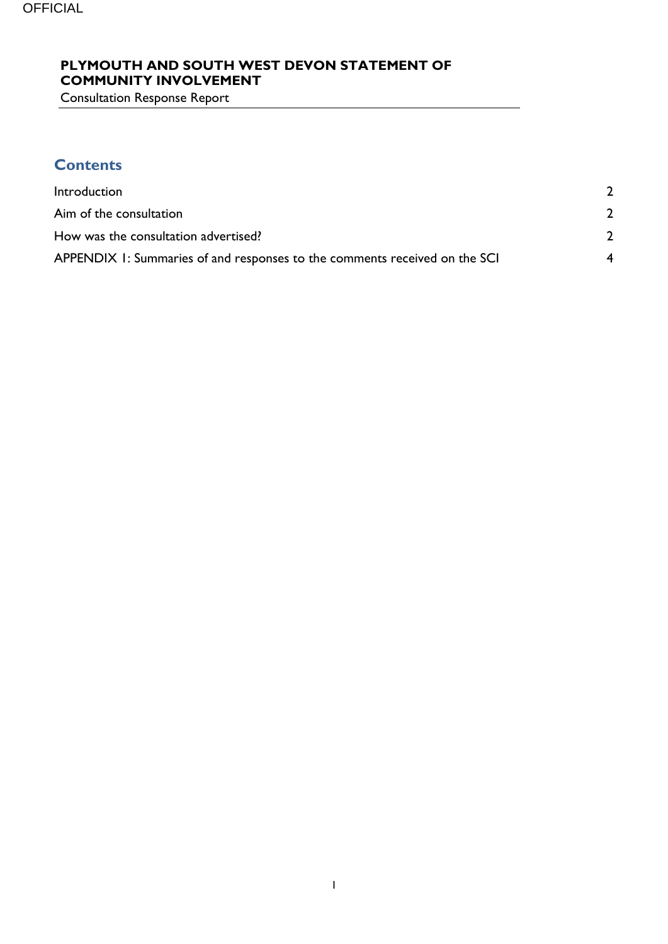#### **PLYMOUTH AND SOUTH WEST DEVON STATEMENT OF COMMUNITY INVOLVEMENT**

Consultation Response Report

# **Contents**

| Introduction                                                               |  |
|----------------------------------------------------------------------------|--|
| Aim of the consultation                                                    |  |
| How was the consultation advertised?                                       |  |
| APPENDIX 1: Summaries of and responses to the comments received on the SCI |  |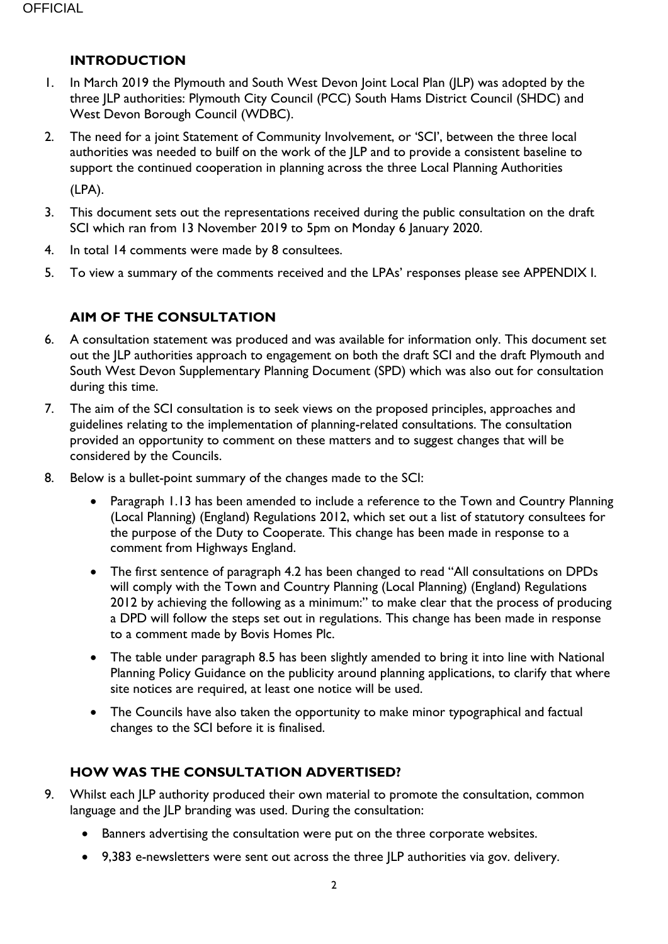#### <span id="page-1-0"></span>**INTRODUCTION**

- 1. In March 2019 the Plymouth and South West Devon Joint Local Plan (JLP) was adopted by the three JLP authorities: Plymouth City Council (PCC) South Hams District Council (SHDC) and West Devon Borough Council (WDBC).
- 2. The need for a joint Statement of Community Involvement, or 'SCI', between the three local authorities was needed to builf on the work of the JLP and to provide a consistent baseline to support the continued cooperation in planning across the three Local Planning Authorities

(LPA).

- 3. This document sets out the representations received during the public consultation on the draft SCI which ran from 13 November 2019 to 5pm on Monday 6 January 2020.
- 4. In total 14 comments were made by 8 consultees.
- 5. To view a summary of the comments received and the LPAs' responses please see APPENDIX I.

## <span id="page-1-1"></span>**AIM OF THE CONSULTATION**

- 6. A consultation statement was produced and was available for information only. This document set out the JLP authorities approach to engagement on both the draft SCI and the draft Plymouth and South West Devon Supplementary Planning Document (SPD) which was also out for consultation during this time.
- 7. The aim of the SCI consultation is to seek views on the proposed principles, approaches and guidelines relating to the implementation of planning-related consultations. The consultation provided an opportunity to comment on these matters and to suggest changes that will be considered by the Councils.
- 8. Below is a bullet-point summary of the changes made to the SCI:
	- Paragraph 1.13 has been amended to include a reference to the Town and Country Planning (Local Planning) (England) Regulations 2012, which set out a list of statutory consultees for the purpose of the Duty to Cooperate. This change has been made in response to a comment from Highways England.
	- The first sentence of paragraph 4.2 has been changed to read "All consultations on DPDs will comply with the Town and Country Planning (Local Planning) (England) Regulations 2012 by achieving the following as a minimum:" to make clear that the process of producing a DPD will follow the steps set out in regulations. This change has been made in response to a comment made by Bovis Homes Plc.
	- The table under paragraph 8.5 has been slightly amended to bring it into line with National Planning Policy Guidance on the publicity around planning applications, to clarify that where site notices are required, at least one notice will be used.
	- The Councils have also taken the opportunity to make minor typographical and factual changes to the SCI before it is finalised.

## <span id="page-1-2"></span>**HOW WAS THE CONSULTATION ADVERTISED?**

- 9. Whilst each JLP authority produced their own material to promote the consultation, common language and the JLP branding was used. During the consultation:
	- Banners advertising the consultation were put on the three corporate websites.
	- 9,383 e-newsletters were sent out across the three JLP authorities via gov. delivery.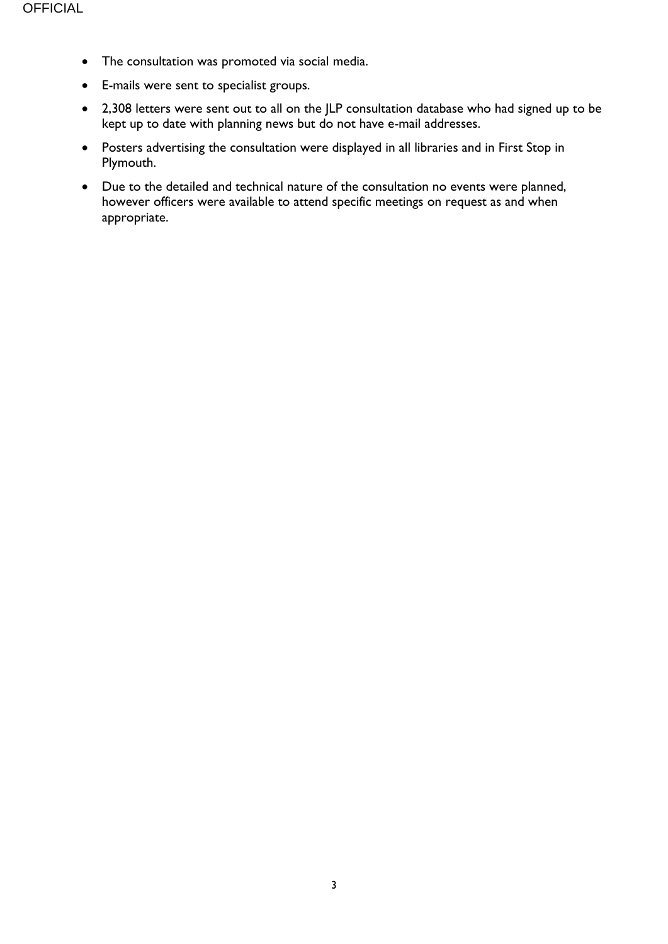- The consultation was promoted via social media.
- E-mails were sent to specialist groups.
- 2,308 letters were sent out to all on the JLP consultation database who had signed up to be kept up to date with planning news but do not have e-mail addresses.
- Posters advertising the consultation were displayed in all libraries and in First Stop in Plymouth.
- Due to the detailed and technical nature of the consultation no events were planned, however officers were available to attend specific meetings on request as and when appropriate.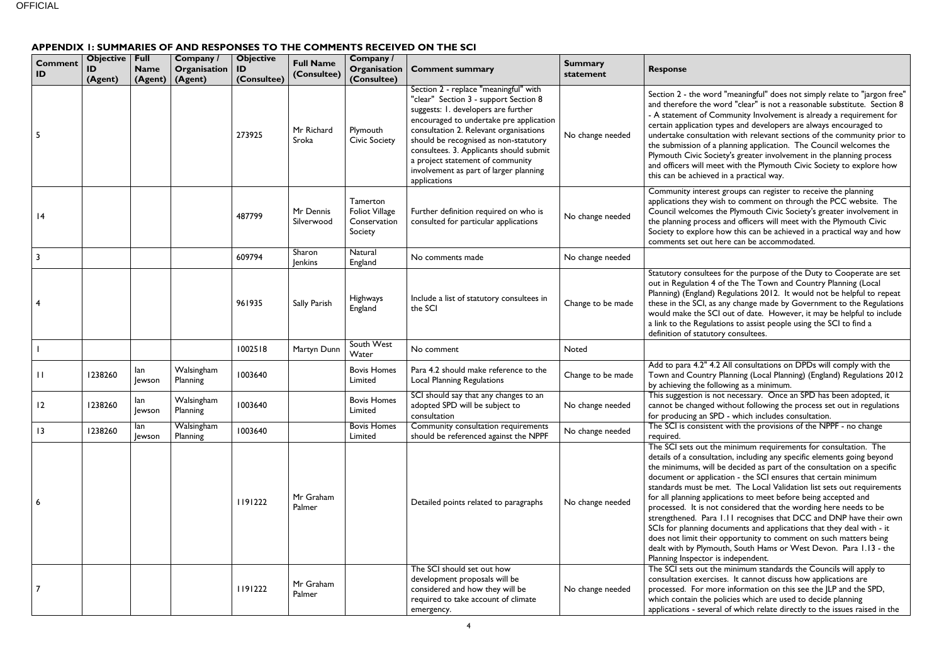ord "meaningful" does not simply relate to "jargon free" and "clear" is not a reasonable substitute. Section 8 Community Involvement is already a requirement for n types and developers are always encouraged to tation with relevant sections of the community prior to a planning application. The Council welcomes the pout a greater involvement in the planning process neet with the Plymouth Civic Society to explore how the can be achieved in a practical way.

est groups can register to receive the planning wish to comment on through the PCC website. The s the Plymouth Civic Society's greater involvement in ess and officers will meet with the Plymouth Civic  $\epsilon$  how this can be achieved in a practical way and how t here can be accommodated.

ees for the purpose of the Duty to Cooperate are set 4 of the The Town and Country Planning (Local  $\theta$ ) Regulations 2012. It would not be helpful to repeat as any change made by Government to the Regulations SCI out of date. However, it may be helpful to include lations to assist people using the SCI to find a tory consultees.

4.2 All consultations on DPDs will comply with the ry Planning (Local Planning) (England) Regulations 2012 ollowing as a minimum.

not necessary. Once an SPD has been adopted, it d without following the process set out in regulations SPD - which includes consultation.

tent with the provisions of the NPPF - no change

the minimum requirements for consultation. The Itation, including any specific elements going beyond ill be decided as part of the consultation on a specific  $lication$  - the SCI ensures that certain minimum e met. The Local Validation list sets out requirements plications to meet before being accepted and ot considered that the wording here needs to be ra 1.11 recognises that DCC and DNP have their own documents and applications that they deal with - it eir opportunity to comment on such matters being nouth, South Hams or West Devon. Para 1.13 - the r is independent.

the minimum standards the Councils will apply to cises. It cannot discuss how applications are nore information on this see the JLP and the SPD, policies which are used to decide planning eral of which relate directly to the issues raised in the

#### <span id="page-3-0"></span>**APPENDIX 1: SUMMARIES OF AND RESPONSES TO THE COMMENTS RECEIVED ON THE SCI**

| <b>Comment</b><br>ID    | Objective<br>ID<br>(Agent) | Full<br><b>Name</b><br>(Agent) | Company /<br>Organisation<br>(Agent) | <b>Objective</b><br>ID<br>(Consultee) | <b>Full Name</b><br>(Consultee) | Company /<br>Organisation<br>(Consultee)                     | <b>Comment summary</b>                                                                                                                                                                                                                                                                                                                                                                       | <b>Summary</b><br>statement | <b>Response</b>                                                                                                                                                                                                                                                  |
|-------------------------|----------------------------|--------------------------------|--------------------------------------|---------------------------------------|---------------------------------|--------------------------------------------------------------|----------------------------------------------------------------------------------------------------------------------------------------------------------------------------------------------------------------------------------------------------------------------------------------------------------------------------------------------------------------------------------------------|-----------------------------|------------------------------------------------------------------------------------------------------------------------------------------------------------------------------------------------------------------------------------------------------------------|
| 5                       |                            |                                |                                      | 273925                                | Mr Richard<br>Sroka             | Plymouth<br><b>Civic Society</b>                             | Section 2 - replace "meaningful" with<br>"clear" Section 3 - support Section 8<br>suggests: I. developers are further<br>encouraged to undertake pre application<br>consultation 2. Relevant organisations<br>should be recognised as non-statutory<br>consultees. 3. Applicants should submit<br>a project statement of community<br>involvement as part of larger planning<br>applications | No change needed            | Section 2 - the wo<br>and therefore the<br>- A statement of C<br>certain application<br>undertake consult<br>the submission of<br><b>Plymouth Civic Sc</b><br>and officers will m<br>this can be achiev                                                          |
| 4                       |                            |                                |                                      | 487799                                | Mr Dennis<br>Silverwood         | Tamerton<br><b>Foliot Village</b><br>Conservation<br>Society | Further definition required on who is<br>consulted for particular applications                                                                                                                                                                                                                                                                                                               | No change needed            | Community intere<br>applications they v<br>Council welcomes<br>the planning proce<br>Society to explore<br>comments set out                                                                                                                                      |
| $\overline{\mathbf{3}}$ |                            |                                |                                      | 609794                                | Sharon<br><b>Jenkins</b>        | Natural<br>England                                           | No comments made                                                                                                                                                                                                                                                                                                                                                                             | No change needed            |                                                                                                                                                                                                                                                                  |
| 4                       |                            |                                |                                      | 961935                                | Sally Parish                    | Highways<br>England                                          | Include a list of statutory consultees in<br>the SCI                                                                                                                                                                                                                                                                                                                                         | Change to be made           | Statutory consulte<br>out in Regulation<br>Planning) (England<br>these in the SCI, a<br>would make the S<br>a link to the Regul<br>definition of statut                                                                                                          |
|                         |                            |                                |                                      | 1002518                               | Martyn Dunn                     | South West<br>Water                                          | No comment                                                                                                                                                                                                                                                                                                                                                                                   | Noted                       |                                                                                                                                                                                                                                                                  |
| $\mathbf{H}$            | 1238260                    | lan<br>Jewson                  | Walsingham<br>Planning               | 1003640                               |                                 | <b>Bovis Homes</b><br>Limited                                | Para 4.2 should make reference to the<br><b>Local Planning Regulations</b>                                                                                                                                                                                                                                                                                                                   | Change to be made           | Add to para 4.2"<br><b>Town and Countr</b><br>by achieving the fo                                                                                                                                                                                                |
| 12                      | 1238260                    | lan<br>Jewson                  | Walsingham<br>Planning               | 1003640                               |                                 | <b>Bovis Homes</b><br>Limited                                | SCI should say that any changes to an<br>adopted SPD will be subject to<br>consultation                                                                                                                                                                                                                                                                                                      | No change needed            | This suggestion is<br>cannot be changed<br>for producing an S                                                                                                                                                                                                    |
| $\overline{13}$         | 1238260                    | lan<br>Jewson                  | Walsingham<br>Planning               | 1003640                               |                                 | <b>Bovis Homes</b><br>Limited                                | Community consultation requirements<br>should be referenced against the NPPF                                                                                                                                                                                                                                                                                                                 | No change needed            | The SCI is consist<br>required.                                                                                                                                                                                                                                  |
| 6                       |                            |                                |                                      | 1191222                               | Mr Graham<br>Palmer             |                                                              | Detailed points related to paragraphs                                                                                                                                                                                                                                                                                                                                                        | No change needed            | The SCI sets out 1<br>details of a consul<br>the minimums, wi<br>document or appl<br>standards must be<br>for all planning ap<br>processed. It is no<br>strengthened. Par<br>SCIs for planning<br>does not limit the<br>dealt with by Plym<br>Planning Inspector |
|                         |                            |                                |                                      | 1191222                               | Mr Graham<br>Palmer             |                                                              | The SCI should set out how<br>development proposals will be<br>considered and how they will be<br>required to take account of climate<br>emergency.                                                                                                                                                                                                                                          | No change needed            | The SCI sets out 1<br>consultation exer<br>processed. For m<br>which contain the<br>applications - seve                                                                                                                                                          |